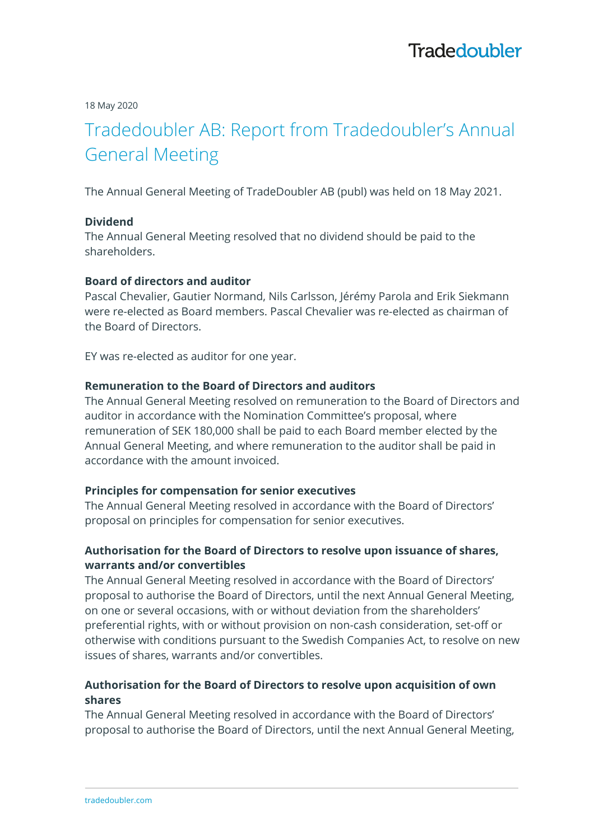18 May 2020

# Tradedoubler AB: Report from Tradedoubler's Annual General Meeting

The Annual General Meeting of TradeDoubler AB (publ) was held on 18 May 2021.

#### **Dividend**

The Annual General Meeting resolved that no dividend should be paid to the shareholders.

#### **Board of directors and auditor**

Pascal Chevalier, Gautier Normand, Nils Carlsson, Jérémy Parola and Erik Siekmann were re-elected as Board members. Pascal Chevalier was re-elected as chairman of the Board of Directors.

EY was re-elected as auditor for one year.

# **Remuneration to the Board of Directors and auditors**

The Annual General Meeting resolved on remuneration to the Board of Directors and auditor in accordance with the Nomination Committee's proposal, where remuneration of SEK 180,000 shall be paid to each Board member elected by the Annual General Meeting, and where remuneration to the auditor shall be paid in accordance with the amount invoiced.

#### **Principles for compensation for senior executives**

The Annual General Meeting resolved in accordance with the Board of Directors' proposal on principles for compensation for senior executives.

#### **Authorisation for the Board of Directors to resolve upon issuance of shares, warrants and/or convertibles**

The Annual General Meeting resolved in accordance with the Board of Directors' proposal to authorise the Board of Directors, until the next Annual General Meeting, on one or several occasions, with or without deviation from the shareholders' preferential rights, with or without provision on non-cash consideration, set-off or otherwise with conditions pursuant to the Swedish Companies Act, to resolve on new issues of shares, warrants and/or convertibles.

## **Authorisation for the Board of Directors to resolve upon acquisition of own shares**

The Annual General Meeting resolved in accordance with the Board of Directors' proposal to authorise the Board of Directors, until the next Annual General Meeting,